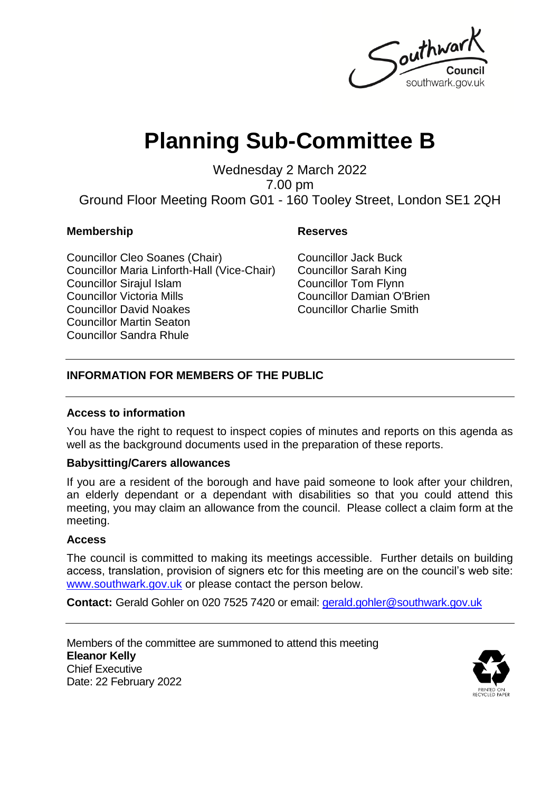Southwar southwark.gov.uk

# **Planning Sub-Committee B**

Wednesday 2 March 2022 7.00 pm Ground Floor Meeting Room G01 - 160 Tooley Street, London SE1 2QH

#### **Membership Reserves**

Councillor Cleo Soanes (Chair) Councillor Maria Linforth-Hall (Vice-Chair) Councillor Sirajul Islam Councillor Victoria Mills Councillor David Noakes Councillor Martin Seaton Councillor Sandra Rhule

Councillor Jack Buck Councillor Sarah King Councillor Tom Flynn Councillor Damian O'Brien Councillor Charlie Smith

### **INFORMATION FOR MEMBERS OF THE PUBLIC**

#### **Access to information**

You have the right to request to inspect copies of minutes and reports on this agenda as well as the background documents used in the preparation of these reports.

### **Babysitting/Carers allowances**

If you are a resident of the borough and have paid someone to look after your children, an elderly dependant or a dependant with disabilities so that you could attend this meeting, you may claim an allowance from the council. Please collect a claim form at the meeting.

#### **Access**

The council is committed to making its meetings accessible. Further details on building access, translation, provision of signers etc for this meeting are on the council's web site: [www.southwark.gov.uk](http://www.southwark.gov.uk/Public/Home.aspx) or please contact the person below.

**Contact:** Gerald Gohler on 020 7525 7420 or email: [gerald.gohler@southwark.gov.uk](mailto:gerald.gohler@SOUTHWARK.GOV.UK)

Members of the committee are summoned to attend this meeting **Eleanor Kelly** Chief Executive Date: 22 February 2022

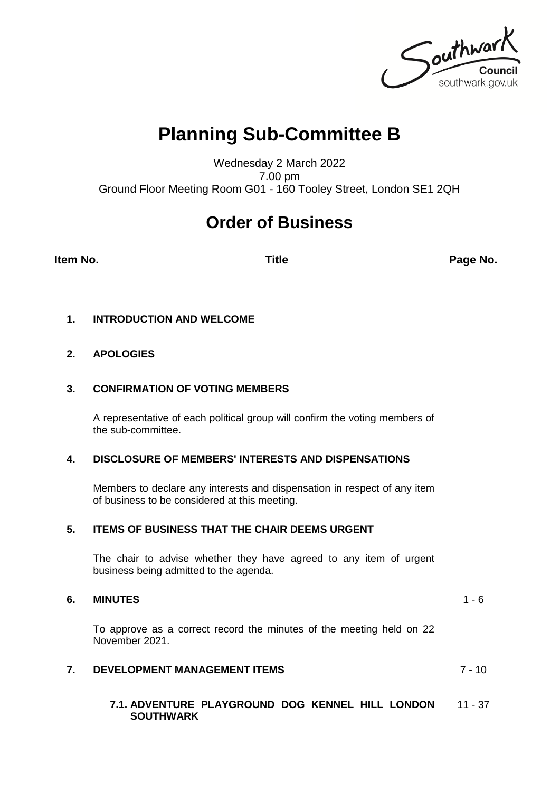Southwark southwark.gov.uk

## **Planning Sub-Committee B**

Wednesday 2 March 2022 7.00 pm Ground Floor Meeting Room G01 - 160 Tooley Street, London SE1 2QH

### **Order of Business**

**Item No. Title Page No.**

#### **1. INTRODUCTION AND WELCOME**

#### **2. APOLOGIES**

#### **3. CONFIRMATION OF VOTING MEMBERS**

A representative of each political group will confirm the voting members of the sub-committee.

#### **4. DISCLOSURE OF MEMBERS' INTERESTS AND DISPENSATIONS**

Members to declare any interests and dispensation in respect of any item of business to be considered at this meeting.

#### **5. ITEMS OF BUSINESS THAT THE CHAIR DEEMS URGENT**

The chair to advise whether they have agreed to any item of urgent business being admitted to the agenda.

#### **6. MINUTES** 1 - 6

To approve as a correct record the minutes of the meeting held on 22 November 2021.

#### **7. DEVELOPMENT MANAGEMENT ITEMS** 7 - 10

#### **7.1. ADVENTURE PLAYGROUND DOG KENNEL HILL LONDON SOUTHWARK** 11 - 37